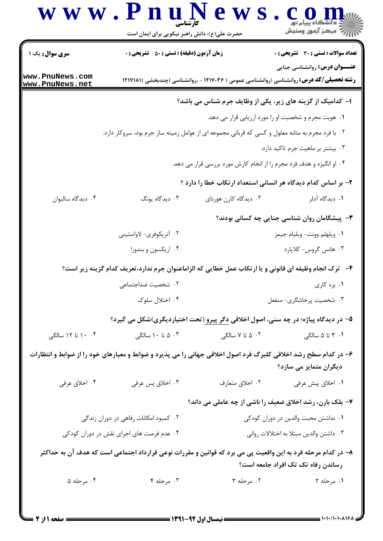|                                                                                                                                                    | www.PnuNews<br>حضرت علی(ع): دانش راهبر نیکویی برای ایمان است                                           |                                         | أأأأ عركز آزمون وسنجش                                                                                                                   |  |  |
|----------------------------------------------------------------------------------------------------------------------------------------------------|--------------------------------------------------------------------------------------------------------|-----------------------------------------|-----------------------------------------------------------------------------------------------------------------------------------------|--|--|
| <b>سری سوال :</b> یک ۱                                                                                                                             | <b>زمان آزمون (دقیقه) : تستی : 50 ٪ تشریحی : 0</b>                                                     |                                         | <b>تعداد سوالات : تستی : 30 ٪ تشریحی : 0</b>                                                                                            |  |  |
| www.PnuNews.com<br>www.PnuNews.net                                                                                                                 |                                                                                                        |                                         | <b>عنـــوان درس:</b> روانشناسی جنایی<br><b>رشته تحصیلی/کد درس: ر</b> وانشناسی (روانشناسی عمومی ) ۱۲۱۷۰۳۶ - ،روانشناسی (چندبخشی )۱۲۱۷۱۸۱ |  |  |
| ا- کدامیک از گزینه های زیر، یکی از وظایف جرم شناس می باشد؟                                                                                         |                                                                                                        |                                         |                                                                                                                                         |  |  |
|                                                                                                                                                    | ۰۱ هویت مجرم و شخصیت او را مورد ارزیابی قرار می دهد.                                                   |                                         |                                                                                                                                         |  |  |
|                                                                                                                                                    | ۰۲ با فرد مجرم به مثابه معلول و کسی که قربانی مجموعه ای از عوامل زمینه ساز جرم بود، سروکار دارد.       |                                         |                                                                                                                                         |  |  |
|                                                                                                                                                    | ۰۳ بیشتر بر ماهیت جرم تاکید دارد.                                                                      |                                         |                                                                                                                                         |  |  |
| ۰۴ او انگیزه و هدف فرد مجرم را از انجام کارش مورد بررسی قرار می دهد.                                                                               |                                                                                                        |                                         |                                                                                                                                         |  |  |
|                                                                                                                                                    | ۲- بر اساس کدام دیدگاه هر انسانی استعداد ارتکاب خطا را دارد ؟                                          |                                         |                                                                                                                                         |  |  |
| ۰۴ ديدگاه ساليوان                                                                                                                                  | ۰۳ دیدگاه یونگ                                                                                         | ۰۲ دیدگاه کارن هورنای                   | ۰۱ دیدگاه آدلر                                                                                                                          |  |  |
|                                                                                                                                                    |                                                                                                        |                                         | ۳- پیشگامان روان شناسی جنایی چه کسانی بودند؟                                                                                            |  |  |
|                                                                                                                                                    | ۰۲ آنریکوفری- لاواستینی                                                                                |                                         | ٠١ ويلهلم وونت- ويليام جيمز                                                                                                             |  |  |
|                                                                                                                                                    | ۰۴ اریکسون و بندورا                                                                                    |                                         | ۰۳ هانس گروس- کلاپارد                                                                                                                   |  |  |
|                                                                                                                                                    | ۴-- ترک انجام وظیفه ای قانونی و یا ارتکاب عمل خطایی که الزاماعنوان جرم ندارد،تعریف کدام گزینه زیر است؟ |                                         |                                                                                                                                         |  |  |
|                                                                                                                                                    | ۲. شخصیت ضداجتماعی                                                                                     |                                         | ۰۱. بزه کاری                                                                                                                            |  |  |
|                                                                                                                                                    | ۰۴ اختلال سلوک                                                                                         | ۰۳ شخصیت پرخاشگری- منفعل                |                                                                                                                                         |  |  |
|                                                                                                                                                    | ۵– در دیدگاه پیاژه؛ در چه سنی، اصول اخلاقی <u>دگر پیرو (</u> تحت اختیاردیگری)شکل می گیرد؟              |                                         |                                                                                                                                         |  |  |
| ۰۴ ۱۰ تا ۱۲ سالگی                                                                                                                                  | ۰۳ تا ۱۰ سالگی                                                                                         | ۰۲ ۵ تا ۷ سالگی                         | ۰۱ ۳ تا ۵ سالگی                                                                                                                         |  |  |
| ۶– در کدام سطح رشد اخلاقی کلبرگ فرد اصول اخلاقی جهانی را می پذیرد و ضوابط و معیارهای خود را از ضوابط و انتظارات<br>دیگران متمایز می سازد؟          |                                                                                                        |                                         |                                                                                                                                         |  |  |
| ۰۴ اخلاق عرفی                                                                                                                                      | ۰۳ اخلاق پس عرفی                                                                                       | ۰۲ اخلاق متعارف                         | ٠١. اخلاق پيش عرفي                                                                                                                      |  |  |
|                                                                                                                                                    |                                                                                                        |                                         | ۷- بلک بارن، رشد اخلاق ضعیف را ناشی از چه عاملی می داند؟                                                                                |  |  |
| ۰۲ کمبود امکانات رفاهی در دوران زندگی                                                                                                              |                                                                                                        | ٠١ نداشتن محبت والدين در دوران كودكى    |                                                                                                                                         |  |  |
| ۰۴ عدم فرصت های اجرای نقش در دوران کودکی                                                                                                           |                                                                                                        | ٠٣ داشتن والدين مبتلا به اختلالات رواني |                                                                                                                                         |  |  |
| ۸– در کدام مرحله فرد به این واقعیت پی می برد که قوانین و مقررات نوعی قرارداد اجتماعی است که هدف آن به حداکثر<br>رساندن رفاه تک تک افراد جامعه است؟ |                                                                                                        |                                         |                                                                                                                                         |  |  |
| ۰۴ مرحله ۵                                                                                                                                         | ۰۳ مرحله ۴                                                                                             | ۰۲ مرحله ۳                              | ١. مرحله ٢                                                                                                                              |  |  |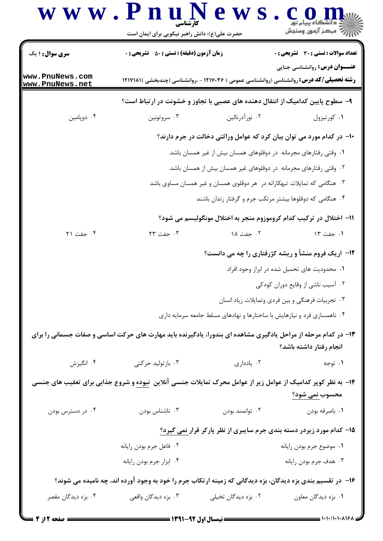| $\bf W \, \bf W \, \bf W$ . $\bf P \, \bf V$ | کارشناسی<br>حضرت علی(ع): دانش راهبر نیکویی برای ایمان است                                                           | e v                                                                       | رُ ۖ مرڪز آزمون وسنڊش                                                                                                                   |  |  |
|----------------------------------------------|---------------------------------------------------------------------------------------------------------------------|---------------------------------------------------------------------------|-----------------------------------------------------------------------------------------------------------------------------------------|--|--|
| <b>سری سوال :</b> ۱ یک                       | <b>زمان آزمون (دقیقه) : تستی : 50 ٪ تشریحی : 0</b>                                                                  |                                                                           | <b>تعداد سوالات : تستي : 30 ٪ تشريحي : 0</b>                                                                                            |  |  |
| www.PnuNews.com<br>www.PnuNews.net           |                                                                                                                     |                                                                           | <b>عنـــوان درس:</b> روانشناسی جنایی<br><b>رشته تحصیلی/کد درس: روان</b> شناسی (روانشناسی عمومی ) ۱۲۱۷۰۳۶ - ،روانشناسی (چندبخشی )۱۲۱۷۱۸۱ |  |  |
|                                              |                                                                                                                     |                                                                           | ۹- سطوح پایین کدامیک از انتقال دهنده های عصبی با تجاوز و خشونت در ارتباط است؟                                                           |  |  |
| ۰۴ دوپامين                                   | ۰۳ سروتونين                                                                                                         | ۰۲ نورآدرنالين                                                            | ۰۱ کورتیزول                                                                                                                             |  |  |
|                                              | ∙ا− در کدام مورد می توان بیان کرد که عوامل وراثتی دخالت در جرم دارند؟                                               |                                                                           |                                                                                                                                         |  |  |
|                                              |                                                                                                                     | ۰۱ وقتی رفتارهای مجرمانه در دوقلوهای همسان بیش از غیر همسان باشد.         |                                                                                                                                         |  |  |
|                                              |                                                                                                                     | ۰۲ وقتی رفتارهای مجرمانه در دوقلوهای غیر همسان بیش از همسان باشد.         |                                                                                                                                         |  |  |
|                                              |                                                                                                                     | ۰۳ هنگامی که تمایلات تبهکارانه در  هر دوقلوی همسان و غیر همسان مساوی باشد |                                                                                                                                         |  |  |
|                                              |                                                                                                                     | ۰۴ هنگامی که دوقلوها بیشتر مرتکب جرم و گرفتار زندان باشند                 |                                                                                                                                         |  |  |
|                                              |                                                                                                                     |                                                                           | ۱۱– اختلال در ترکیب کدام کروموزوم منجر به اختلال مونگولیسم می شود؟                                                                      |  |  |
| ۰۴ جفت ۲۱                                    | ۰۳ جفت ۲۳                                                                                                           | ۰۲ جفت ۱۸                                                                 | ۰۱ جفت ۱۳                                                                                                                               |  |  |
|                                              |                                                                                                                     |                                                                           | <b>۱۲</b> - اریک فروم منشأ و ریشه کژرفتاری را چه می دانست؟                                                                              |  |  |
|                                              |                                                                                                                     | ٠١. محدوديت هاى تحميل شده در ابراز وجود افراد                             |                                                                                                                                         |  |  |
|                                              |                                                                                                                     |                                                                           | ۰۲ آسیب ناشی از وقایع دوران کودکی                                                                                                       |  |  |
|                                              |                                                                                                                     |                                                                           | ۰۳ تجربیات فرهنگی و بین فردی وتمایلات زیاد انسان                                                                                        |  |  |
|                                              |                                                                                                                     | ۰۴ ناهمسازی فرد و نیازهایش با ساختارها و نهادهای مسلط جامعه سرمایه داری   |                                                                                                                                         |  |  |
|                                              | ۱۳- در کدام مرحله از مراحل یادگیری مشاهده ای بندورا، یادگیرنده باید مهارت های حرکت اساسی و صفات جسمانی را برای      |                                                                           | انجام رفتار داشته باشد؟                                                                                                                 |  |  |
| ۰۴ انگیزش                                    | ۰۳ بازتولید حرکتی                                                                                                   | ۰۲ یادداری                                                                | ۰۱ توجه                                                                                                                                 |  |  |
|                                              | ۱۴– به نظر کوپر کدامیک از عوامل زیر از عوامل محرک تمایلات جنسی آنلاین <u>نبوده</u> و شروع جذابی برای تعقیب های جنسی |                                                                           |                                                                                                                                         |  |  |
|                                              |                                                                                                                     |                                                                           | محسوب <u>نمی شود؟</u>                                                                                                                   |  |  |
| ۰۴ در دسترس بودن                             | ۰۳ ناشناس بودن                                                                                                      | ۰۲ توانمند بودن                                                           | ۰۱ باصرفه بودن                                                                                                                          |  |  |
|                                              |                                                                                                                     |                                                                           | ۱۵– کدام مورد زیردر دسته بندی جرم سایبری از نظر پارکر قرار <u>نمی گیرد؟</u>                                                             |  |  |
|                                              | ۰۲ فاعل جرم بودن رايانه                                                                                             |                                                                           | ٠١ موضوع جرم بودن رايانه                                                                                                                |  |  |
|                                              | ۰۴ ابزار جرم بودن رايانه                                                                                            |                                                                           | ۰۳ هدف جرم بودن رايانه                                                                                                                  |  |  |
|                                              | ۱۶– در تقسیم بندی بزه دیدگان، بزه دیدگانی که زمینه ارتکاب جرم را خود به وجود آورده اند، چه نامیده می شوند؟          |                                                                           |                                                                                                                                         |  |  |
| ۰۴ بزه دیدگان مقصر                           | ۰۳ بزه ديدگان واقعي                                                                                                 | ۰۲ بزه دیدگان تخیلی                                                       | ٠١. بزه ديدگان معاون                                                                                                                    |  |  |
|                                              |                                                                                                                     |                                                                           |                                                                                                                                         |  |  |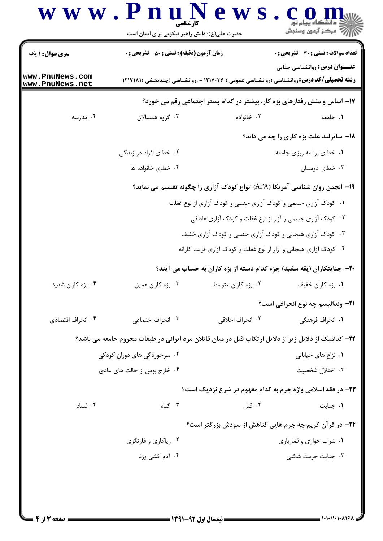#### www.PnuN ews.con ريسمبرس<br>جي مرڪز آزمون وسنڊش حضرت علی(ع): دانش راهبر نیکویی برای ایمان است **تعداد سوالات : تستي : 30 ٪ تشريحي : 0 سری سوال : ۱ یک زمان آزمون (دقیقه) : تستی : 50 ٪ تشریحی : 0 عنــوان درس: روانشناسی جنایی** www.PnuNews.com **رشته تحصیلی/کد درس: روانشناسی (روانشناسی عمومی ) ۱۲۱۷۰۳۶ - ،روانشناسی (چندبخشی )۱۲۱۷۱۸۱** www.PnuNews.net ۱۷- اساس و منش رفتارهای بزه کار، بیشتر در کدام بستر اجتماعی رقم می خورد؟ ۰۲ خانواده ۰۴ مدرسه ۰۳ گروه همسالان ١. حامعه 18- ساترلند علت بزه کاری را چه می داند؟ ۰۲ خطای افراد در زندگی ۰۱ خطای برنامه ریزی جامعه ۰۴ خطای خانواده ها ۰۳ خطای دوستان

#### ۱۹- انجمن روان شناسی آمریکا (APA) انواع کودک آزاری را چگونه تقسیم می نماید؟

۰۱ کودک آزاری جسمی و کودک آزاری جنسی و کودک آزاری از نوع غفلت ۰۲ کودک آزاری جسمی و آزار از نوع غفلت و کودک آزاری عاطفی ۰۳ کودک آزاری هیجانی و کودک آزاری جنسی و کودک آزاری خفیف ۰۴ کودک آزاری هیجانی و آزار از نوع غفلت و کودک آزاری فریب کارانه

### +۲- جنایتکاران (یقه سفید) جزء کدام دسته از بزه کاران به حساب می آیند؟

## ٢٢- كداميك از دلايل زير از دلايل ارتكاب قتل در ميان قاتلان مرد ايراني در طبقات محروم جامعه مي باشد؟

# ٢٣- در فقه اسلامي واژه جرم به كدام مفهوم در شرع نزديك است؟

$$
1. \div 1
$$

۱. شراب خواری و قماربازی 
$$
\sim
$$
 ۲.

۰۴ آدم کشی وزنا ۰۳ جنایت حرمت شکنی